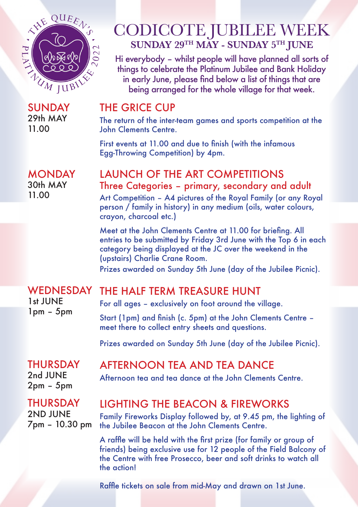

SUNDAY 29th MAY 11.00

# CODICOTE JUBILEE WEEK **SUNDAY 29TH MAY - SUNDAY 5TH JUNE**

Hi everybody – whilst people will have planned all sorts of things to celebrate the Platinum Jubilee and Bank Holiday in early June, please find below a list of things that are being arranged for the whole village for that week.

### THE GRICE CUP

The return of the inter-team games and sports competition at the John Clements Centre.

First events at 11.00 and due to finish (with the infamous Egg-Throwing Competition) by 4pm.

### **MONDAY** 30th MAY 11.00

### LAUNCH OF THE ART COMPETITIONS Three Categories – primary, secondary and adult

Art Competition – A4 pictures of the Royal Family (or any Royal person / family in history) in any medium (oils, water colours, crayon, charcoal etc.)

Meet at the John Clements Centre at 11.00 for briefing. All entries to be submitted by Friday 3rd June with the Top 6 in each category being displayed at the JC over the weekend in the (upstairs) Charlie Crane Room.

Prizes awarded on Sunday 5th June (day of the Jubilee Picnic).

### WEDNESDAY THE HALF TERM TREASURE HUNT

1st JUNE 1pm – 5pm

For all ages – exclusively on foot around the village.

Start (1pm) and finish (c. 5pm) at the John Clements Centre – meet there to collect entry sheets and questions.

Prizes awarded on Sunday 5th June (day of the Jubilee Picnic).

### THURSDAY 2nd JUNE

2pm – 5pm

THURSDAY 2ND JUNE 7pm – 10.30 pm

# LIGHTING THE BEACON & FIREWORKS

Afternoon tea and tea dance at the John Clements Centre.

AFTERNOON TEA AND TEA DANCE

Family Fireworks Display followed by, at 9.45 pm, the lighting of the Jubilee Beacon at the John Clements Centre.

A raffle will be held with the first prize (for family or group of friends) being exclusive use for 12 people of the Field Balcony of the Centre with free Prosecco, beer and soft drinks to watch all the action!

Raffle tickets on sale from mid-May and drawn on 1st June.